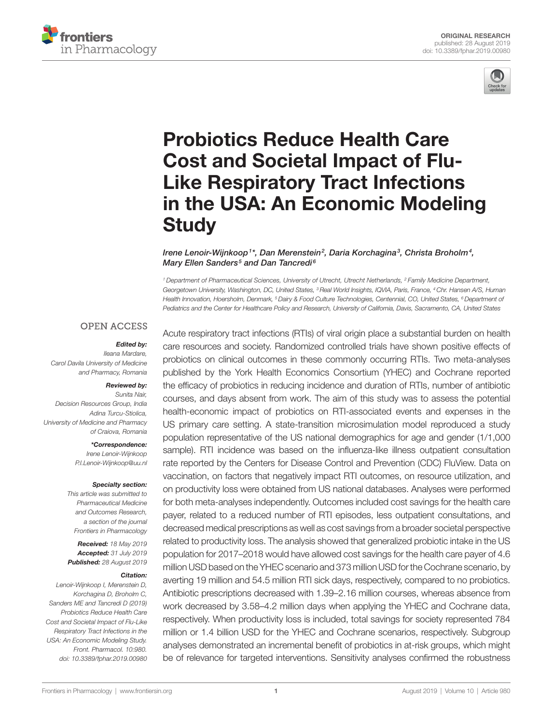



# [Probiotics Reduce Health Care](https://www.frontiersin.org/article/10.3389/fphar.2019.00980/full) [Cost and Societal Impact of Flu-](https://www.frontiersin.org/article/10.3389/fphar.2019.00980/full)[Like Respiratory Tract Infections](https://www.frontiersin.org/article/10.3389/fphar.2019.00980/full)  [in the USA: An Economic Modeling](https://www.frontiersin.org/article/10.3389/fphar.2019.00980/full)  **[Study](https://www.frontiersin.org/article/10.3389/fphar.2019.00980/full)**

*[Irene Lenoir-Wijnkoop](https://loop.frontiersin.org/people/123740)1\*, Dan Merenstein2, Daria Korchagina3, Christa Broholm4, Mary Ellen Sanders5 and [Dan Tancredi](https://loop.frontiersin.org/people/777709)6*

*1 Department of Pharmaceutical Sciences, University of Utrecht, Utrecht Netherlands, 2 Family Medicine Department, Georgetown University, Washington, DC, United States, 3 Real World Insights, IQVIA, Paris, France, 4 Chr. Hansen A/S, Human Health Innovation, Hoersholm, Denmark, 5 Dairy & Food Culture Technologies, Centennial, CO, United States, 6 Department of Pediatrics and the Center for Healthcare Policy and Research, University of California, Davis, Sacramento, CA, United States*

### **OPEN ACCESS**

#### *Edited by:*

*Ileana Mardare, Carol Davila University of Medicine and Pharmacy, Romania*

### *Reviewed by:*

*Sunita Nair, Decision Resources Group, India Adina Turcu-Stiolica, University of Medicine and Pharmacy of Craiova, Romania*

*\*Correspondence:*

*Irene Lenoir-Wijnkoop [P.I.Lenoir-Wijnkoop@uu.nl](mailto:P.I.Lenoir-Wijnkoop@uu.nl )*

#### *Specialty section:*

*This article was submitted to Pharmaceutical Medicine and Outcomes Research, a section of the journal Frontiers in Pharmacology*

*Received: 18 May 2019 Accepted: 31 July 2019 Published: 28 August 2019*

#### *Citation:*

*Lenoir-Wijnkoop I, Merenstein D, Korchagina D, Broholm C, Sanders ME and Tancredi D (2019) Probiotics Reduce Health Care Cost and Societal Impact of Flu-Like Respiratory Tract Infections in the USA: An Economic Modeling Study. Front. Pharmacol. 10:980. doi: [10.3389/fphar.2019.00980](https://doi.org/10.3389/fphar.2019.00980)* Acute respiratory tract infections (RTIs) of viral origin place a substantial burden on health care resources and society. Randomized controlled trials have shown positive effects of probiotics on clinical outcomes in these commonly occurring RTIs. Two meta-analyses published by the York Health Economics Consortium (YHEC) and Cochrane reported the efficacy of probiotics in reducing incidence and duration of RTIs, number of antibiotic courses, and days absent from work. The aim of this study was to assess the potential health-economic impact of probiotics on RTI-associated events and expenses in the US primary care setting. A state-transition microsimulation model reproduced a study population representative of the US national demographics for age and gender (1/1,000 sample). RTI incidence was based on the influenza-like illness outpatient consultation rate reported by the Centers for Disease Control and Prevention (CDC) FluView. Data on vaccination, on factors that negatively impact RTI outcomes, on resource utilization, and on productivity loss were obtained from US national databases. Analyses were performed for both meta-analyses independently. Outcomes included cost savings for the health care payer, related to a reduced number of RTI episodes, less outpatient consultations, and decreased medical prescriptions as well as cost savings from a broader societal perspective related to productivity loss. The analysis showed that generalized probiotic intake in the US population for 2017–2018 would have allowed cost savings for the health care payer of 4.6 million USD based on the YHEC scenario and 373 million USD for the Cochrane scenario, by averting 19 million and 54.5 million RTI sick days, respectively, compared to no probiotics. Antibiotic prescriptions decreased with 1.39–2.16 million courses, whereas absence from work decreased by 3.58–4.2 million days when applying the YHEC and Cochrane data, respectively. When productivity loss is included, total savings for society represented 784 million or 1.4 billion USD for the YHEC and Cochrane scenarios, respectively. Subgroup analyses demonstrated an incremental benefit of probiotics in at-risk groups, which might be of relevance for targeted interventions. Sensitivity analyses confirmed the robustness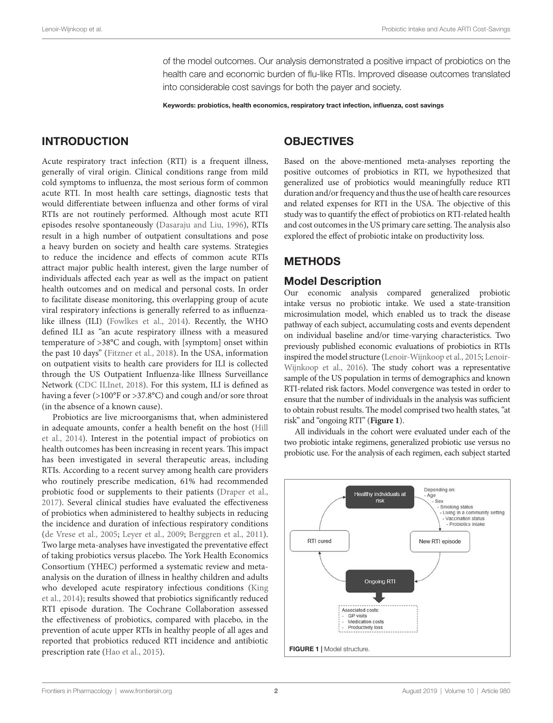of the model outcomes. Our analysis demonstrated a positive impact of probiotics on the health care and economic burden of flu-like RTIs. Improved disease outcomes translated into considerable cost savings for both the payer and society.

Keywords: probiotics, health economics, respiratory tract infection, influenza, cost savings

# INTRODUCTION

Acute respiratory tract infection (RTI) is a frequent illness, generally of viral origin. Clinical conditions range from mild cold symptoms to influenza, the most serious form of common acute RTI. In most health care settings, diagnostic tests that would differentiate between influenza and other forms of viral RTIs are not routinely performed. Although most acute RTI episodes resolve spontaneously [\(Dasaraju and Liu, 1996](#page-7-0)), RTIs result in a high number of outpatient consultations and pose a heavy burden on society and health care systems. Strategies to reduce the incidence and effects of common acute RTIs attract major public health interest, given the large number of individuals affected each year as well as the impact on patient health outcomes and on medical and personal costs. In order to facilitate disease monitoring, this overlapping group of acute viral respiratory infections is generally referred to as influenzalike illness (ILI) [\(Fowlkes et al., 2014](#page-7-1)). Recently, the WHO defined ILI as "an acute respiratory illness with a measured temperature of >38°C and cough, with [symptom] onset within the past 10 days" ([Fitzner et al., 2018\)](#page-7-2). In the USA, information on outpatient visits to health care providers for ILI is collected through the US Outpatient Influenza-like Illness Surveillance Network [\(CDC ILInet, 2018](#page-7-3)). For this system, ILI is defined as having a fever (>100°F or >37.8°C) and cough and/or sore throat (in the absence of a known cause).

Probiotics are live microorganisms that, when administered in adequate amounts, confer a health benefit on the host [\(Hill](#page-7-4)  [et al., 2014\)](#page-7-4). Interest in the potential impact of probiotics on health outcomes has been increasing in recent years. This impact has been investigated in several therapeutic areas, including RTIs. According to a recent survey among health care providers who routinely prescribe medication, 61% had recommended probiotic food or supplements to their patients ([Draper et al.,](#page-7-5)  [2017](#page-7-5)). Several clinical studies have evaluated the effectiveness of probiotics when administered to healthy subjects in reducing the incidence and duration of infectious respiratory conditions (de Vrese et al., 2005; [Leyer et al., 2009](#page-7-6); [Berggren et al., 2011](#page-7-7)). Two large meta-analyses have investigated the preventative effect of taking probiotics versus placebo. The York Health Economics Consortium (YHEC) performed a systematic review and metaanalysis on the duration of illness in healthy children and adults who developed acute respiratory infectious conditions [\(King](#page-7-8)  [et al., 2014\)](#page-7-8); results showed that probiotics significantly reduced RTI episode duration. The Cochrane Collaboration assessed the effectiveness of probiotics, compared with placebo, in the prevention of acute upper RTIs in healthy people of all ages and reported that probiotics reduced RTI incidence and antibiotic prescription rate [\(Hao et al., 2015\)](#page-7-9).

## **OBJECTIVES**

Based on the above-mentioned meta-analyses reporting the positive outcomes of probiotics in RTI, we hypothesized that generalized use of probiotics would meaningfully reduce RTI duration and/or frequency and thus the use of health care resources and related expenses for RTI in the USA. The objective of this study was to quantify the effect of probiotics on RTI-related health and cost outcomes in the US primary care setting. The analysis also explored the effect of probiotic intake on productivity loss.

# METHODS

### Model Description

Our economic analysis compared generalized probiotic intake versus no probiotic intake. We used a state-transition microsimulation model, which enabled us to track the disease pathway of each subject, accumulating costs and events dependent on individual baseline and/or time-varying characteristics. Two previously published economic evaluations of probiotics in RTIs inspired the model structure [\(Lenoir-Wijnkoop et al., 2015](#page-7-10); [Lenoir-](#page-7-11)[Wijnkoop et al., 2016\)](#page-7-11). The study cohort was a representative sample of the US population in terms of demographics and known RTI-related risk factors. Model convergence was tested in order to ensure that the number of individuals in the analysis was sufficient to obtain robust results. The model comprised two health states, "at risk" and "ongoing RTI" (**Figure 1**).

All individuals in the cohort were evaluated under each of the two probiotic intake regimens, generalized probiotic use versus no probiotic use. For the analysis of each regimen, each subject started

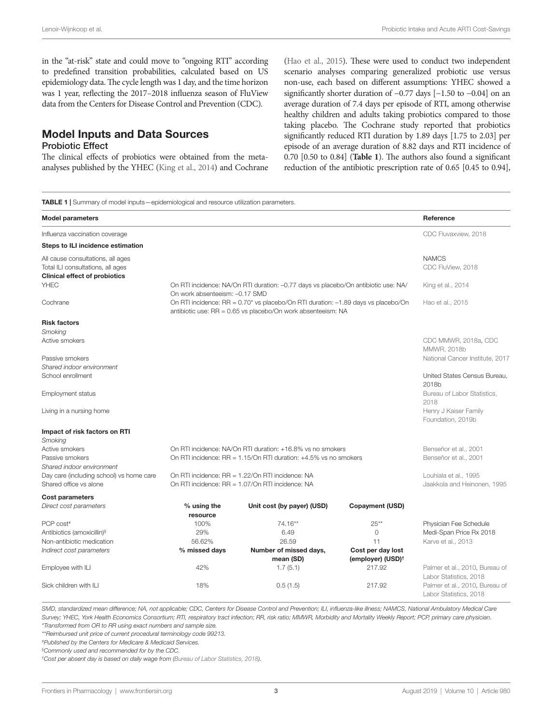in the "at-risk" state and could move to "ongoing RTI" according to predefined transition probabilities, calculated based on US epidemiology data. The cycle length was 1 day, and the time horizon was 1 year, reflecting the 2017–2018 influenza season of FluView data from the Centers for Disease Control and Prevention (CDC).

# Model Inputs and Data Sources

#### Probiotic Effect

The clinical effects of probiotics were obtained from the metaanalyses published by the YHEC [\(King et al., 2014\)](#page-7-8) and Cochrane [\(Hao et al., 2015\)](#page-7-9). These were used to conduct two independent scenario analyses comparing generalized probiotic use versus non-use, each based on different assumptions: YHEC showed a significantly shorter duration of −0.77 days [−1.50 to −0.04] on an average duration of 7.4 days per episode of RTI, among otherwise healthy children and adults taking probiotics compared to those taking placebo. The Cochrane study reported that probiotics significantly reduced RTI duration by 1.89 days [1.75 to 2.03] per episode of an average duration of 8.82 days and RTI incidence of 0.70 [0.50 to 0.84] (**Table 1**). The authors also found a significant reduction of the antibiotic prescription rate of 0.65 [0.45 to 0.94],

TABLE 1 | Summary of model inputs—epidemiological and resource utilization parameters.

| <b>Model parameters</b>                                                                                        |                                                                                                                                   |                                                                                                                                                               |                               | Reference                                                |
|----------------------------------------------------------------------------------------------------------------|-----------------------------------------------------------------------------------------------------------------------------------|---------------------------------------------------------------------------------------------------------------------------------------------------------------|-------------------------------|----------------------------------------------------------|
| Influenza vaccination coverage                                                                                 |                                                                                                                                   |                                                                                                                                                               |                               | CDC Fluvaxview, 2018                                     |
| Steps to ILI incidence estimation                                                                              |                                                                                                                                   |                                                                                                                                                               |                               |                                                          |
| All cause consultations, all ages<br>Total ILI consultations, all ages<br><b>Clinical effect of probiotics</b> |                                                                                                                                   |                                                                                                                                                               |                               | <b>NAMCS</b><br>CDC FluView, 2018                        |
| <b>YHEC</b>                                                                                                    | On work absenteeism: -0.17 SMD                                                                                                    | On RTI incidence: NA/On RTI duration: -0.77 days vs placebo/On antibiotic use: NA/                                                                            |                               | King et al., 2014                                        |
| Cochrane                                                                                                       |                                                                                                                                   | On RTI incidence: RR = 0.70 <sup>*</sup> vs placebo/On RTI duration: -1.89 days vs placebo/On<br>antibiotic use: RR = 0.65 vs placebo/On work absenteeism: NA |                               | Hao et al., 2015                                         |
| <b>Risk factors</b>                                                                                            |                                                                                                                                   |                                                                                                                                                               |                               |                                                          |
| Smokina                                                                                                        |                                                                                                                                   |                                                                                                                                                               |                               |                                                          |
| Active smokers                                                                                                 |                                                                                                                                   |                                                                                                                                                               |                               | CDC MMWR, 2018a, CDC<br>MMWR, 2018b                      |
| Passive smokers                                                                                                |                                                                                                                                   |                                                                                                                                                               |                               | National Cancer Institute, 2017                          |
| Shared indoor environment                                                                                      |                                                                                                                                   |                                                                                                                                                               |                               |                                                          |
| School enrollment                                                                                              |                                                                                                                                   |                                                                                                                                                               |                               | United States Census Bureau.<br>2018 <sub>b</sub>        |
| <b>Employment status</b>                                                                                       |                                                                                                                                   |                                                                                                                                                               |                               | Bureau of Labor Statistics,<br>2018                      |
| Living in a nursing home                                                                                       |                                                                                                                                   |                                                                                                                                                               |                               | Henry J Kaiser Family<br>Foundation, 2019b               |
| Impact of risk factors on RTI                                                                                  |                                                                                                                                   |                                                                                                                                                               |                               |                                                          |
| Smoking                                                                                                        |                                                                                                                                   |                                                                                                                                                               |                               |                                                          |
| Active smokers                                                                                                 | On RTI incidence: NA/On RTI duration: +16.8% vs no smokers<br>On RTI incidence: $RR = 1.15/On RTI duration: +4.5\%$ vs no smokers |                                                                                                                                                               |                               | Benseñor et al., 2001                                    |
| Passive smokers                                                                                                |                                                                                                                                   |                                                                                                                                                               |                               | Benseñor et al., 2001                                    |
| Shared indoor environment<br>Day care (including school) vs home care                                          |                                                                                                                                   |                                                                                                                                                               |                               | Louhiala et al., 1995                                    |
| Shared office vs alone                                                                                         | On RTI incidence: RR = 1.22/On RTI incidence: NA<br>On RTI incidence: RR = 1.07/On RTI incidence: NA                              |                                                                                                                                                               |                               | Jaakkola and Heinonen, 1995                              |
|                                                                                                                |                                                                                                                                   |                                                                                                                                                               |                               |                                                          |
| <b>Cost parameters</b>                                                                                         |                                                                                                                                   |                                                                                                                                                               |                               |                                                          |
| Direct cost parameters                                                                                         | $%$ using the<br>resource                                                                                                         | Unit cost (by payer) (USD)                                                                                                                                    | Copayment (USD)               |                                                          |
| PCP cost <sup>#</sup>                                                                                          | 100%                                                                                                                              | 74.16**                                                                                                                                                       | $25**$                        | Physician Fee Schedule                                   |
| Antibiotics (amoxicillin) <sup>§</sup>                                                                         | 29%                                                                                                                               | 6.49                                                                                                                                                          | $\circ$                       | Medi-Span Price Rx 2018                                  |
| Non-antibiotic medication                                                                                      | 56.62%                                                                                                                            | 26.59                                                                                                                                                         | 11                            | Karve et al., 2013                                       |
| Indirect cost parameters                                                                                       | % missed days                                                                                                                     | Number of missed days,                                                                                                                                        | Cost per day lost             |                                                          |
|                                                                                                                |                                                                                                                                   | mean (SD)                                                                                                                                                     | (employer) (USD) <sup>†</sup> |                                                          |
| Employee with ILI                                                                                              | 42%                                                                                                                               | 1.7(5.1)                                                                                                                                                      | 217.92                        | Palmer et al., 2010, Bureau of<br>Labor Statistics, 2018 |
| Sick children with ILI                                                                                         | 18%                                                                                                                               | 0.5(1.5)                                                                                                                                                      | 217.92                        | Palmer et al., 2010, Bureau of<br>Labor Statistics, 2018 |

SMD, standardized mean difference; NA, not applicable; CDC, Centers for Disease Control and Prevention; ILI, influenza-like illness; NAMCS, National Ambulatory Medical Care *Survey; YHEC, York Health Economics Consortium; RTI, respiratory tract infection; RR, risk ratio; MMWR, Morbidity and Mortality Weekly Report; PCP, primary care physician. \*Transformed from OR to RR using exact numbers and sample size.*

*\*\*Reimbursed unit price of current procedural terminology code 99213.*

*#Published by the Centers for Medicare & Medicaid Services.*

*§Commonly used and recommended for by the CDC.*

*†Cost per absent day is based on daily wage from ([Bureau of Labor Statistics, 2018](#page-7-17)).*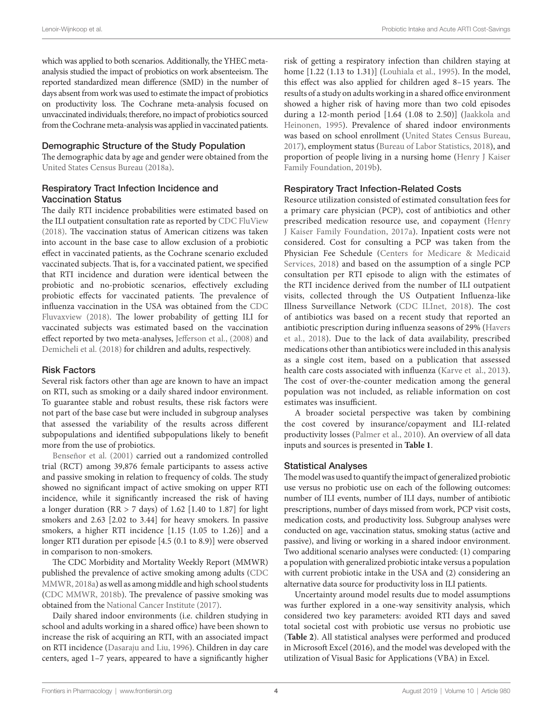which was applied to both scenarios. Additionally, the YHEC metaanalysis studied the impact of probiotics on work absenteeism. The reported standardized mean difference (SMD) in the number of days absent from work was used to estimate the impact of probiotics on productivity loss. The Cochrane meta-analysis focused on unvaccinated individuals; therefore, no impact of probiotics sourced from the Cochrane meta-analysis was applied in vaccinated patients.

#### Demographic Structure of the Study Population

The demographic data by age and gender were obtained from the [United States Census Bureau \(2018a\)](#page-8-1).

#### Respiratory Tract Infection Incidence and Vaccination Status

The daily RTI incidence probabilities were estimated based on the ILI outpatient consultation rate as reported by [CDC FluView](#page-7-13)  [\(2018\).](#page-7-13) The vaccination status of American citizens was taken into account in the base case to allow exclusion of a probiotic effect in vaccinated patients, as the Cochrane scenario excluded vaccinated subjects. That is, for a vaccinated patient, we specified that RTI incidence and duration were identical between the probiotic and no-probiotic scenarios, effectively excluding probiotic effects for vaccinated patients. The prevalence of influenza vaccination in the USA was obtained from the [CDC](#page-7-12)  [Fluvaxview \(2018\).](#page-7-12) The lower probability of getting ILI for vaccinated subjects was estimated based on the vaccination effect reported by two meta-analyses, [Jefferson et al., \(2008\)](#page-7-22) and [Demicheli et al. \(2018\)](#page-7-23) for children and adults, respectively.

#### Risk Factors

Several risk factors other than age are known to have an impact on RTI, such as smoking or a daily shared indoor environment. To guarantee stable and robust results, these risk factors were not part of the base case but were included in subgroup analyses that assessed the variability of the results across different subpopulations and identified subpopulations likely to benefit more from the use of probiotics.

Benseñor et al. (2001) carried out a randomized controlled trial (RCT) among 39,876 female participants to assess active and passive smoking in relation to frequency of colds. The study showed no significant impact of active smoking on upper RTI incidence, while it significantly increased the risk of having a longer duration ( $RR > 7$  days) of 1.62 [1.40 to 1.87] for light smokers and 2.63 [2.02 to 3.44] for heavy smokers. In passive smokers, a higher RTI incidence [1.15 (1.05 to 1.26)] and a longer RTI duration per episode [4.5 (0.1 to 8.9)] were observed in comparison to non-smokers.

The CDC Morbidity and Mortality Weekly Report (MMWR) published the prevalence of active smoking among adults [\(CDC](#page-7-14)  [MMWR, 2018a\)](#page-7-14) as well as among middle and high school students [\(CDC MMWR, 2018b\)](#page-7-15). The prevalence of passive smoking was obtained from the [National Cancer Institute \(2017\)](#page-7-16).

Daily shared indoor environments (i.e. children studying in school and adults working in a shared office) have been shown to increase the risk of acquiring an RTI, with an associated impact on RTI incidence [\(Dasaraju and Liu, 1996\)](#page-7-0). Children in day care centers, aged 1–7 years, appeared to have a significantly higher risk of getting a respiratory infection than children staying at home [1.22 (1.13 to 1.31)] [\(Louhiala et al., 1995\)](#page-7-19). In the model, this effect was also applied for children aged 8–15 years. The results of a study on adults working in a shared office environment showed a higher risk of having more than two cold episodes during a 12-month period [1.64 (1.08 to 2.50)] ([Jaakkola and](#page-7-20)  [Heinonen, 1995\)](#page-7-20). Prevalence of shared indoor environments was based on school enrollment [\(United States Census Bureau,](#page-8-2)  [2017](#page-8-2)), employment status ([Bureau of Labor Statistics, 2018\)](#page-7-17), and proportion of people living in a nursing home [\(Henry J Kaiser](#page-7-18)  [Family Foundation, 2019b\)](#page-7-18).

#### Respiratory Tract Infection-Related Costs

Resource utilization consisted of estimated consultation fees for a primary care physician (PCP), cost of antibiotics and other prescribed medication resource use, and copayment ([Henry](#page-7-24)  [J Kaiser Family Foundation, 2017a](#page-7-24)). Inpatient costs were not considered. Cost for consulting a PCP was taken from the Physician Fee Schedule [\(Centers for Medicare & Medicaid](#page-7-25)  [Services, 2018\)](#page-7-25) and based on the assumption of a single PCP consultation per RTI episode to align with the estimates of the RTI incidence derived from the number of ILI outpatient visits, collected through the US Outpatient Influenza-like Illness Surveillance Network ([CDC ILInet, 2018\)](#page-7-3). The cost of antibiotics was based on a recent study that reported an antibiotic prescription during influenza seasons of 29% ([Havers](#page-7-26)  [et al., 2018\)](#page-7-26). Due to the lack of data availability, prescribed medications other than antibiotics were included in this analysis as a single cost item, based on a publication that assessed health care costs associated with influenza ([Karve et al., 2013](#page-7-21)). The cost of over-the-counter medication among the general population was not included, as reliable information on cost estimates was insufficient.

A broader societal perspective was taken by combining the cost covered by insurance/copayment and ILI-related productivity losses ([Palmer et al., 2010](#page-8-0)). An overview of all data inputs and sources is presented in **Table 1**.

#### Statistical Analyses

The model was used to quantify the impact of generalized probiotic use versus no probiotic use on each of the following outcomes: number of ILI events, number of ILI days, number of antibiotic prescriptions, number of days missed from work, PCP visit costs, medication costs, and productivity loss. Subgroup analyses were conducted on age, vaccination status, smoking status (active and passive), and living or working in a shared indoor environment. Two additional scenario analyses were conducted: (1) comparing a population with generalized probiotic intake versus a population with current probiotic intake in the USA and (2) considering an alternative data source for productivity loss in ILI patients.

Uncertainty around model results due to model assumptions was further explored in a one-way sensitivity analysis, which considered two key parameters: avoided RTI days and saved total societal cost with probiotic use versus no probiotic use (**Table 2**). All statistical analyses were performed and produced in Microsoft Excel (2016), and the model was developed with the utilization of Visual Basic for Applications (VBA) in Excel.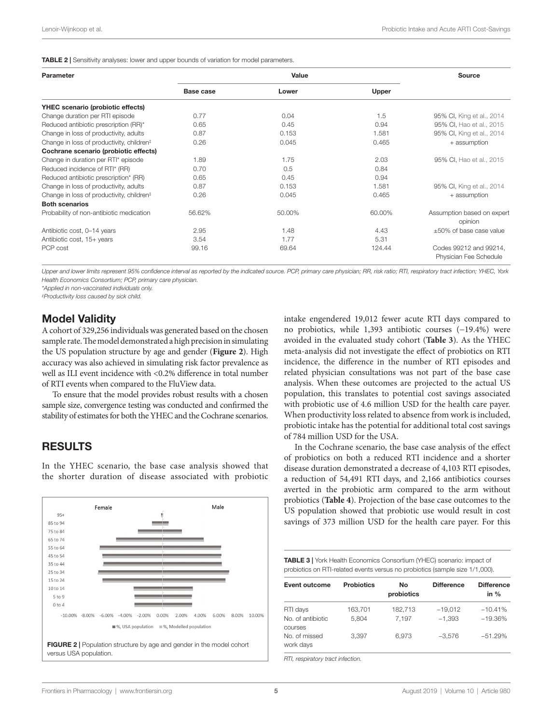TABLE 2 | Sensitivity analyses: lower and upper bounds of variation for model parameters.

| Parameter                                             | Value            |        |        | <b>Source</b>                                    |
|-------------------------------------------------------|------------------|--------|--------|--------------------------------------------------|
|                                                       | <b>Base case</b> | Lower  | Upper  |                                                  |
| <b>YHEC scenario (probiotic effects)</b>              |                  |        |        |                                                  |
| Change duration per RTI episode                       | 0.77             | 0.04   | 1.5    | 95% CI, King et al., 2014                        |
| Reduced antibiotic prescription (RR)*                 | 0.65             | 0.45   | 0.94   | 95% CI. Hao et al., 2015                         |
| Change in loss of productivity, adults                | 0.87             | 0.153  | 1.581  | 95% Cl, King et al., 2014                        |
| Change in loss of productivity, children <sup>#</sup> | 0.26             | 0.045  | 0.465  | + assumption                                     |
| Cochrane scenario (probiotic effects)                 |                  |        |        |                                                  |
| Change in duration per RTI* episode                   | 1.89             | 1.75   | 2.03   | 95% CI, Hao et al., 2015                         |
| Reduced incidence of RTI* (RR)                        | 0.70             | 0.5    | 0.84   |                                                  |
| Reduced antibiotic prescription* (RR)                 | 0.65             | 0.45   | 0.94   |                                                  |
| Change in loss of productivity, adults                | 0.87             | 0.153  | 1.581  | 95% CI, King et al., 2014                        |
| Change in loss of productivity, children <sup>#</sup> | 0.26             | 0.045  | 0.465  | + assumption                                     |
| <b>Both scenarios</b>                                 |                  |        |        |                                                  |
| Probability of non-antibiotic medication              | 56.62%           | 50.00% | 60.00% | Assumption based on expert<br>opinion            |
| Antibiotic cost, 0-14 years                           | 2.95             | 1.48   | 4.43   | $\pm 50\%$ of base case value                    |
| Antibiotic cost, 15+ years                            | 3.54             | 1.77   | 5.31   |                                                  |
| PCP cost                                              | 99.16            | 69.64  | 124.44 | Codes 99212 and 99214,<br>Physician Fee Schedule |

*Upper and lower limits represent 95% confidence interval as reported by the indicated source. PCP, primary care physician; RR, risk ratio; RTI, respiratory tract infection; YHEC, York Health Economics Consortium; PCP, primary care physician.*

*\*Applied in non-vaccinated individuals only.*

*‡Productivity loss caused by sick child.*

### Model Validity

A cohort of 329,256 individuals was generated based on the chosen sample rate. The model demonstrated a high precision in simulating the US population structure by age and gender (**Figure 2**). High accuracy was also achieved in simulating risk factor prevalence as well as ILI event incidence with <0.2% difference in total number of RTI events when compared to the FluView data.

To ensure that the model provides robust results with a chosen sample size, convergence testing was conducted and confirmed the stability of estimates for both the YHEC and the Cochrane scenarios.

# RESULTS

In the YHEC scenario, the base case analysis showed that the shorter duration of disease associated with probiotic



intake engendered 19,012 fewer acute RTI days compared to no probiotics, while 1,393 antibiotic courses (−19.4%) were avoided in the evaluated study cohort (**Table 3**). As the YHEC meta-analysis did not investigate the effect of probiotics on RTI incidence, the difference in the number of RTI episodes and related physician consultations was not part of the base case analysis. When these outcomes are projected to the actual US population, this translates to potential cost savings associated with probiotic use of 4.6 million USD for the health care payer. When productivity loss related to absence from work is included, probiotic intake has the potential for additional total cost savings of 784 million USD for the USA.

In the Cochrane scenario, the base case analysis of the effect of probiotics on both a reduced RTI incidence and a shorter disease duration demonstrated a decrease of 4,103 RTI episodes, a reduction of 54,491 RTI days, and 2,166 antibiotics courses averted in the probiotic arm compared to the arm without probiotics (**Table 4**). Projection of the base case outcomes to the US population showed that probiotic use would result in cost savings of 373 million USD for the health care payer. For this

TABLE 3 | York Health Economics Consortium (YHEC) scenario: impact of probiotics on RTI-related events versus no probiotics (sample size 1/1,000).

| Event outcome                                | <b>Probiotics</b> | No<br>probiotics | <b>Difference</b>     | <b>Difference</b><br>in $%$ |
|----------------------------------------------|-------------------|------------------|-----------------------|-----------------------------|
| RTI days<br>No. of antibiotic                | 163.701<br>5.804  | 182,713<br>7.197 | $-19,012$<br>$-1.393$ | $-10.41%$<br>$-19.36%$      |
| <b>COUISES</b><br>No. of missed<br>work days | 3.397             | 6.973            | $-3.576$              | $-51.29%$                   |

*RTI, respiratory tract infection.*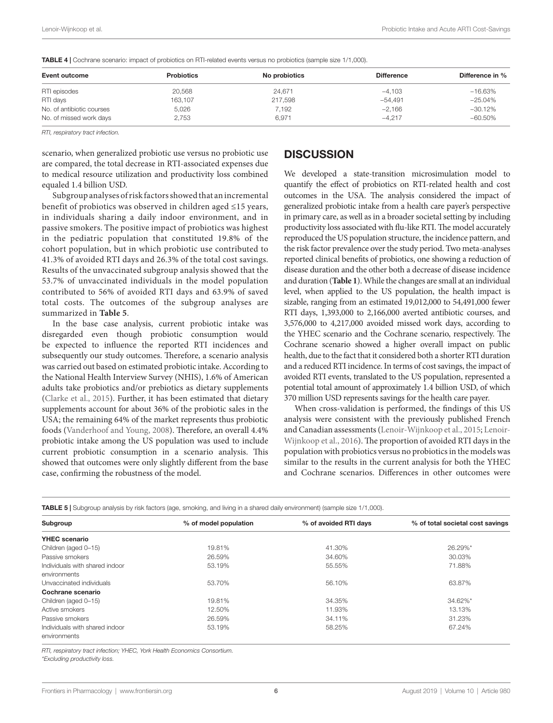|  | <b>TABLE 4</b>   Cochrane scenario: impact of probiotics on RTI-related events versus no probiotics (sample size 1/1,000). |  |  |  |  |
|--|----------------------------------------------------------------------------------------------------------------------------|--|--|--|--|
|--|----------------------------------------------------------------------------------------------------------------------------|--|--|--|--|

| Event outcome             | <b>Probiotics</b> | No probiotics | <b>Difference</b> | Difference in % |
|---------------------------|-------------------|---------------|-------------------|-----------------|
| RTI episodes              | 20.568            | 24.671        | $-4.103$          | $-16.63%$       |
| RTI days                  | 163,107           | 217.598       | $-54.491$         | $-25.04\%$      |
| No. of antibiotic courses | 5,026             | 7,192         | $-2,166$          | $-30.12\%$      |
| No. of missed work days   | 2,753             | 6,971         | $-4.217$          | $-60.50\%$      |

*RTI, respiratory tract infection.*

scenario, when generalized probiotic use versus no probiotic use are compared, the total decrease in RTI-associated expenses due to medical resource utilization and productivity loss combined equaled 1.4 billion USD.

Subgroup analyses of risk factors showed that an incremental benefit of probiotics was observed in children aged ≤15 years, in individuals sharing a daily indoor environment, and in passive smokers. The positive impact of probiotics was highest in the pediatric population that constituted 19.8% of the cohort population, but in which probiotic use contributed to 41.3% of avoided RTI days and 26.3% of the total cost savings. Results of the unvaccinated subgroup analysis showed that the 53.7% of unvaccinated individuals in the model population contributed to 56% of avoided RTI days and 63.9% of saved total costs. The outcomes of the subgroup analyses are summarized in **Table 5**.

In the base case analysis, current probiotic intake was disregarded even though probiotic consumption would be expected to influence the reported RTI incidences and subsequently our study outcomes. Therefore, a scenario analysis was carried out based on estimated probiotic intake. According to the National Health Interview Survey (NHIS), 1.6% of American adults take probiotics and/or prebiotics as dietary supplements [\(Clarke et al., 2015](#page-7-27)). Further, it has been estimated that dietary supplements account for about 36% of the probiotic sales in the USA; the remaining 64% of the market represents thus probiotic foods (Vanderhoof and Young, 2008). Therefore, an overall 4.4% probiotic intake among the US population was used to include current probiotic consumption in a scenario analysis. This showed that outcomes were only slightly different from the base case, confirming the robustness of the model.

### **DISCUSSION**

We developed a state-transition microsimulation model to quantify the effect of probiotics on RTI-related health and cost outcomes in the USA. The analysis considered the impact of generalized probiotic intake from a health care payer's perspective in primary care, as well as in a broader societal setting by including productivity loss associated with flu-like RTI. The model accurately reproduced the US population structure, the incidence pattern, and the risk factor prevalence over the study period. Two meta-analyses reported clinical benefits of probiotics, one showing a reduction of disease duration and the other both a decrease of disease incidence and duration (**Table 1**). While the changes are small at an individual level, when applied to the US population, the health impact is sizable, ranging from an estimated 19,012,000 to 54,491,000 fewer RTI days, 1,393,000 to 2,166,000 averted antibiotic courses, and 3,576,000 to 4,217,000 avoided missed work days, according to the YHEC scenario and the Cochrane scenario, respectively. The Cochrane scenario showed a higher overall impact on public health, due to the fact that it considered both a shorter RTI duration and a reduced RTI incidence. In terms of cost savings, the impact of avoided RTI events, translated to the US population, represented a potential total amount of approximately 1.4 billion USD, of which 370 million USD represents savings for the health care payer.

When cross-validation is performed, the findings of this US analysis were consistent with the previously published French and Canadian assessments [\(Lenoir-Wijnkoop et al., 2015;](#page-7-10) [Lenoir-](#page-7-11)[Wijnkoop et al., 2016](#page-7-11)). The proportion of avoided RTI days in the population with probiotics versus no probiotics in the models was similar to the results in the current analysis for both the YHEC and Cochrane scenarios. Differences in other outcomes were

| <b>TABLE 5</b> Subgroup analysis by risk factors (age, smoking, and living in a shared daily environment) (sample size 1/1,000). |                       |                                  |  |  |  |
|----------------------------------------------------------------------------------------------------------------------------------|-----------------------|----------------------------------|--|--|--|
| % of model population                                                                                                            | % of avoided RTI davs | % of total societal cost savings |  |  |  |
|                                                                                                                                  |                       |                                  |  |  |  |
| 19.81%                                                                                                                           | 41.30%                | 26.29%*                          |  |  |  |
| 26.59%                                                                                                                           | 34.60%                | 30.03%                           |  |  |  |
| 53.19%                                                                                                                           | 55.55%                | 71.88%                           |  |  |  |
|                                                                                                                                  |                       |                                  |  |  |  |
| 53.70%                                                                                                                           | 56.10%                | 63.87%                           |  |  |  |
|                                                                                                                                  |                       |                                  |  |  |  |
| 19.81%                                                                                                                           | 34.35%                | $34.62\%$ *                      |  |  |  |
| 12.50%                                                                                                                           | 11.93%                | 13.13%                           |  |  |  |
| 26.59%                                                                                                                           | 34.11%                | 31.23%                           |  |  |  |
| 53.19%                                                                                                                           | 58.25%                | 67.24%                           |  |  |  |
|                                                                                                                                  |                       |                                  |  |  |  |

*RTI, respiratory tract infection; YHEC, York Health Economics Consortium.*

*\*Excluding productivity loss.*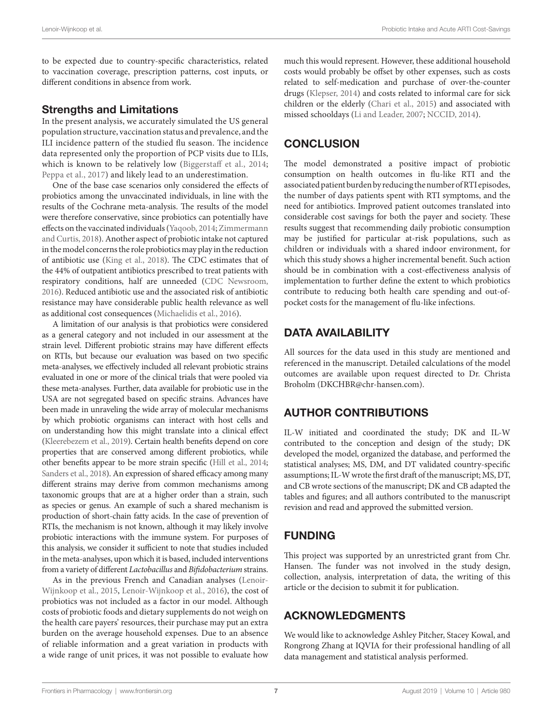to be expected due to country-specific characteristics, related to vaccination coverage, prescription patterns, cost inputs, or different conditions in absence from work.

## Strengths and Limitations

In the present analysis, we accurately simulated the US general population structure, vaccination status and prevalence, and the ILI incidence pattern of the studied flu season. The incidence data represented only the proportion of PCP visits due to ILIs, which is known to be relatively low ([Biggerstaff et al., 2014;](#page-7-28) [Peppa et al., 2017](#page-8-3)) and likely lead to an underestimation.

One of the base case scenarios only considered the effects of probiotics among the unvaccinated individuals, in line with the results of the Cochrane meta-analysis. The results of the model were therefore conservative, since probiotics can potentially have effects on the vaccinated individuals (Yaqoob, 2014; Zimmermann and Curtis, 2018). Another aspect of probiotic intake not captured in the model concerns the role probiotics may play in the reduction of antibiotic use [\(King et al., 2018\)](#page-7-29). The CDC estimates that of the 44% of outpatient antibiotics prescribed to treat patients with respiratory conditions, half are unneeded [\(CDC Newsroom,](#page-7-30)  [2016](#page-7-30)). Reduced antibiotic use and the associated risk of antibiotic resistance may have considerable public health relevance as well as additional cost consequences [\(Michaelidis et al., 2016](#page-7-31)).

A limitation of our analysis is that probiotics were considered as a general category and not included in our assessment at the strain level. Different probiotic strains may have different effects on RTIs, but because our evaluation was based on two specific meta-analyses, we effectively included all relevant probiotic strains evaluated in one or more of the clinical trials that were pooled via these meta-analyses. Further, data available for probiotic use in the USA are not segregated based on specific strains. Advances have been made in unraveling the wide array of molecular mechanisms by which probiotic organisms can interact with host cells and on understanding how this might translate into a clinical effect [\(Kleerebezem et al., 2019\)](#page-7-32). Certain health benefits depend on core properties that are conserved among different probiotics, while other benefits appear to be more strain specific [\(Hill et al., 2014;](#page-7-4) Sanders et al., 2018). An expression of shared efficacy among many different strains may derive from common mechanisms among taxonomic groups that are at a higher order than a strain, such as species or genus. An example of such a shared mechanism is production of short-chain fatty acids. In the case of prevention of RTIs, the mechanism is not known, although it may likely involve probiotic interactions with the immune system. For purposes of this analysis, we consider it sufficient to note that studies included in the meta-analyses, upon which it is based, included interventions from a variety of different *Lactobacillus* and *Bifidobacterium* strains.

As in the previous French and Canadian analyses ([Lenoir-](#page-7-10)[Wijnkoop et al., 2015,](#page-7-10) [Lenoir-Wijnkoop et al., 2016](#page-7-11)), the cost of probiotics was not included as a factor in our model. Although costs of probiotic foods and dietary supplements do not weigh on the health care payers' resources, their purchase may put an extra burden on the average household expenses. Due to an absence of reliable information and a great variation in products with a wide range of unit prices, it was not possible to evaluate how

much this would represent. However, these additional household costs would probably be offset by other expenses, such as costs related to self-medication and purchase of over-the-counter drugs [\(Klepser, 2014\)](#page-7-33) and costs related to informal care for sick children or the elderly ([Chari et al., 2015\)](#page-7-34) and associated with missed schooldays [\(Li and Leader, 2007;](#page-7-35) NCCID, 2014).

# **CONCLUSION**

The model demonstrated a positive impact of probiotic consumption on health outcomes in flu-like RTI and the associated patient burden by reducing the number of RTI episodes, the number of days patients spent with RTI symptoms, and the need for antibiotics. Improved patient outcomes translated into considerable cost savings for both the payer and society. These results suggest that recommending daily probiotic consumption may be justified for particular at-risk populations, such as children or individuals with a shared indoor environment, for which this study shows a higher incremental benefit. Such action should be in combination with a cost-effectiveness analysis of implementation to further define the extent to which probiotics contribute to reducing both health care spending and out-ofpocket costs for the management of flu-like infections.

# DATA AVAILABILITY

All sources for the data used in this study are mentioned and referenced in the manuscript. Detailed calculations of the model outcomes are available upon request directed to Dr. Christa Broholm ([DKCHBR@chr-hansen.com\)](emailto:DKCHBR@chr-hansen.com).

# AUTHOR CONTRIBUTIONS

IL-W initiated and coordinated the study; DK and IL-W contributed to the conception and design of the study; DK developed the model, organized the database, and performed the statistical analyses; MS, DM, and DT validated country-specific assumptions; IL-W wrote the first draft of the manuscript; MS, DT, and CB wrote sections of the manuscript; DK and CB adapted the tables and figures; and all authors contributed to the manuscript revision and read and approved the submitted version.

# FUNDING

This project was supported by an unrestricted grant from Chr. Hansen. The funder was not involved in the study design, collection, analysis, interpretation of data, the writing of this article or the decision to submit it for publication.

# ACKNOWLEDGMENTS

We would like to acknowledge Ashley Pitcher, Stacey Kowal, and Rongrong Zhang at IQVIA for their professional handling of all data management and statistical analysis performed.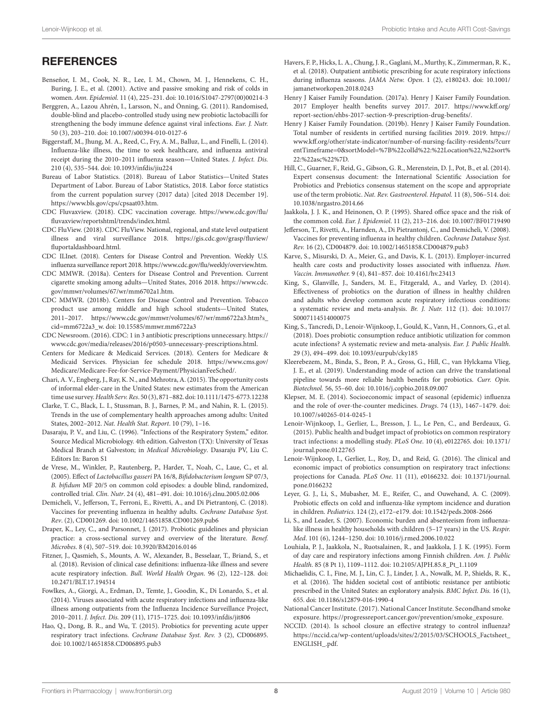# **REFERENCES**

- Benseñor, I. M., Cook, N. R., Lee, I. M., Chown, M. J., Hennekens, C. H., Buring, J. E., et al. (2001). Active and passive smoking and risk of colds in women. *Ann. Epidemiol.* 11 (4), 225–231. doi: [10.1016/S1047-2797\(00\)00214-3](https://doi.org/10.1016/S1047-2797(00)00214-3)
- <span id="page-7-7"></span>Berggren, A., Lazou Ahrén, I., Larsson, N., and Önning, G. (2011). Randomised, double-blind and placebo-controlled study using new probiotic lactobacilli for strengthening the body immune defence against viral infections. *Eur. J. Nutr.* 50 (3), 203–210. doi: [10.1007/s00394-010-0127-6](https://doi.org/10.1007/s00394-010-0127-6)
- <span id="page-7-28"></span>Biggerstaff, M., Jhung, M. A., Reed, C., Fry, A. M., Balluz, L., and Finelli, L. (2014). Influenza-like illness, the time to seek healthcare, and influenza antiviral receipt during the 2010–2011 influenza season—United States. *J. Infect. Dis.* 210 (4), 535–544. doi: [10.1093/infdis/jiu224](https://doi.org/10.1093/infdis/jiu224)
- <span id="page-7-17"></span>Bureau of Labor Statistics. (2018). Bureau of Labor Statistics—United States Department of Labor. Bureau of Labor Statistics, 2018. Labor force statistics from the current population survey (2017 data) [cited 2018 December 19]. [https://www.bls.gov/cps/cpsaat03.htm.](https://www.bls.gov/cps/cpsaat03.htm)
- <span id="page-7-12"></span>CDC Fluvaxview. (2018). CDC vaccination coverage. [https://www.cdc.gov/flu/](https://www.cdc.gov/flu/fluvaxview/reportshtml/trends/index.html) [fluvaxview/reportshtml/trends/index.html.](https://www.cdc.gov/flu/fluvaxview/reportshtml/trends/index.html)
- <span id="page-7-13"></span>CDC FluView. (2018). CDC FluView. National, regional, and state level outpatient illness and viral surveillance 2018. [https://gis.cdc.gov/grasp/fluview/](https://gis.cdc.gov/grasp/fluview/fluportaldashboard.html) [fluportaldashboard.html](https://gis.cdc.gov/grasp/fluview/fluportaldashboard.html).
- <span id="page-7-3"></span>CDC ILInet. (2018). Centers for Disease Control and Prevention. Weekly U.S. influenza surveillance report 2018.<https://www.cdc.gov/flu/weekly/overview.htm>.
- <span id="page-7-14"></span>CDC MMWR. (2018a). Centers for Disease Control and Prevention. Current cigarette smoking among adults—United States, 2016 2018. [https://www.cdc.](https://www.cdc.gov/mmwr/volumes/67/wr/mm6702a1.htm) [gov/mmwr/volumes/67/wr/mm6702a1.htm.](https://www.cdc.gov/mmwr/volumes/67/wr/mm6702a1.htm)
- <span id="page-7-15"></span>CDC MMWR. (2018b). Centers for Disease Control and Prevention. Tobacco product use among middle and high school students—United States, 2011–2017. [https://www.cdc.gov/mmwr/volumes/67/wr/mm6722a3.htm?s\\_](https://www.cdc.gov/mmwr/volumes/67/wr/mm6722a3.htm?s_cid=mm6722a3_w) [cid=mm6722a3\\_w](https://www.cdc.gov/mmwr/volumes/67/wr/mm6722a3.htm?s_cid=mm6722a3_w). doi: [10.15585/mmwr.mm6722a3](https://doi.org/10.15585/mmwr.mm6722a3)
- <span id="page-7-30"></span>CDC Newsroom. (2016). CDC: 1 in 3 antibiotic prescriptions unnecessary. [https://](https://www.cdc.gov/media/releases/2016/p0503-unnecessary-prescriptions.html) [www.cdc.gov/media/releases/2016/p0503-unnecessary-prescriptions.html](https://www.cdc.gov/media/releases/2016/p0503-unnecessary-prescriptions.html).
- <span id="page-7-25"></span>Centers for Medicare & Medicaid Services. (2018). Centers for Medicare & Medicaid Services. Physician fee schedule 2018. [https://www.cms.gov/](https://www.cms.gov/Medicare/Medicare-Fee-for-Service-Payment/PhysicianFeeSched/) [Medicare/Medicare-Fee-for-Service-Payment/PhysicianFeeSched/.](https://www.cms.gov/Medicare/Medicare-Fee-for-Service-Payment/PhysicianFeeSched/)
- <span id="page-7-34"></span>Chari, A. V., Engberg, J., Ray, K. N., and Mehrotra, A. (2015). The opportunity costs of informal elder-care in the United States: new estimates from the American time use survey. *Health Serv. Res*. 50 (3), 871–882. doi: [10.1111/1475-6773.12238](https://doi.org/10.1111/1475-6773.12238)
- <span id="page-7-27"></span>Clarke, T. C., Black, L. I., Stussman, B. J., Barnes, P. M., and Nahin, R. L. (2015). Trends in the use of complementary health approaches among adults: United States, 2002–2012. *Nat. Health Stat. Report*. 10 (79), 1–16.
- <span id="page-7-0"></span>Dasaraju, P. V., and Liu, C. (1996). "Infections of the Respiratory System," editor. Source Medical Microbiology. 4th edition. Galveston (TX): University of Texas Medical Branch at Galveston; in *Medical Microbiology*. Dasaraju PV, Liu C. Editors In: Baron S1
- de Vrese, M., Winkler, P., Rautenberg, P., Harder, T., Noah, C., Laue, C., et al. (2005). Effect of *Lactobacillus gasseri* PA 16/8, *Bifidobacterium longum* SP 07/3, *B. bifidum* MF 20/5 on common cold episodes: a double blind, randomized, controlled trial. *Clin. Nutr*. 24 (4), 481–491. doi: [10.1016/j.clnu.2005.02.006](https://doi.org/10.1016/j.clnu.2005.02.006)
- <span id="page-7-23"></span>Demicheli, V., Jefferson, T., Ferroni, E., Rivetti, A., and Di Pietrantonj, C. (2018). Vaccines for preventing influenza in healthy adults. *Cochrane Database Syst. Rev*. (2), CD001269. doi: [10.1002/14651858.CD001269.pub6](https://doi.org/10.1002/14651858.CD001269.pub6)
- <span id="page-7-5"></span>Draper, K., Ley, C., and Parsonnet, J. (2017). Probiotic guidelines and physician practice: a cross-sectional survey and overview of the literature. *Benef. Microbes*. 8 (4), 507–519. doi: [10.3920/BM2016.0146](https://doi.org/10.3920/BM2016.0146)
- <span id="page-7-2"></span>Fitzner, J., Qasmieh, S., Mounts, A. W., Alexander, B., Besselaar, T., Briand, S., et al. (2018). Revision of clinical case definitions: influenza-like illness and severe acute respiratory infection. *Bull. World Health Organ*. 96 (2), 122–128. doi: [10.2471/BLT.17.194514](https://doi.org/10.2471/BLT.17.194514)
- <span id="page-7-1"></span>Fowlkes, A., Giorgi, A., Erdman, D., Temte, J., Goodin, K., Di Lonardo, S., et al. (2014). Viruses associated with acute respiratory infections and influenza-like illness among outpatients from the Influenza Incidence Surveillance Project, 2010–2011. *J. Infect. Dis.* 209 (11), 1715–1725. doi: [10.1093/infdis/jit806](https://doi.org/10.1093/infdis/jit806)
- <span id="page-7-9"></span>Hao, Q., Dong, B. R., and Wu, T. (2015). Probiotics for preventing acute upper respiratory tract infections. *Cochrane Database Syst. Rev.* 3 (2), CD006895. doi: [10.1002/14651858.CD006895.pub3](https://doi.org/10.1002/14651858.CD006895.pub3)
- <span id="page-7-26"></span>Havers, F. P., Hicks, L. A., Chung, J. R., Gaglani, M., Murthy, K., Zimmerman, R. K., et al. (2018). Outpatient antibiotic prescribing for acute respiratory infections during influenza seasons. *JAMA Netw. Open*. 1 (2), e180243. doi: [10.1001/](https://doi.org/10.1001/jamanetworkopen.2018.0243) [jamanetworkopen.2018.0243](https://doi.org/10.1001/jamanetworkopen.2018.0243)
- <span id="page-7-24"></span>Henry J Kaiser Family Foundation. (2017a). Henry J Kaiser Family Foundation. 2017 Employer health benefits survey 2017. 2017. [https://www.kff.org/](https://www.kff.org/report-section/ehbs-2017-section-9-prescription-drug-benefits/) [report-section/ehbs-2017-section-9-prescription-drug-benefits/.](https://www.kff.org/report-section/ehbs-2017-section-9-prescription-drug-benefits/)
- <span id="page-7-18"></span>Henry J Kaiser Family Foundation. (2019b). Henry J Kaiser Family Foundation. Total number of residents in certified nursing facilities 2019. 2019. [https://](https://www.kff.org/other/state-indicator/number-of-nursing-facility-residents/?currentTimeframe=0&sortModel=%7B%22colId%22:%22Location%22,%22sort%22:%22asc%22%7D) [www.kff.org/other/state-indicator/number-of-nursing-facility-residents/?curr](https://www.kff.org/other/state-indicator/number-of-nursing-facility-residents/?currentTimeframe=0&sortModel=%7B%22colId%22:%22Location%22,%22sort%22:%22asc%22%7D) [entTimeframe=0&sortModel=%7B%22colId%22:%22Location%22,%22sort%](https://www.kff.org/other/state-indicator/number-of-nursing-facility-residents/?currentTimeframe=0&sortModel=%7B%22colId%22:%22Location%22,%22sort%22:%22asc%22%7D) [22:%22asc%22%7D](https://www.kff.org/other/state-indicator/number-of-nursing-facility-residents/?currentTimeframe=0&sortModel=%7B%22colId%22:%22Location%22,%22sort%22:%22asc%22%7D).
- <span id="page-7-4"></span>Hill, C., Guarner, F., Reid, G., Gibson, G. R., Merenstein, D. J., Pot, B., et al. (2014). Expert consensus document: the International Scientific Association for Probiotics and Prebiotics consensus statement on the scope and appropriate use of the term probiotic. *Nat. Rev. Gastroenterol. Hepatol.* 11 (8), 506–514. doi: [10.1038/nrgastro.2014.66](https://doi.org/10.1038/nrgastro.2014.66)
- <span id="page-7-20"></span>Jaakkola, J. J. K., and Heinonen, O. P. (1995). Shared office space and the risk of the common cold. *Eur. J. Epidemiol*. 11 (2), 213–216. doi: [10.1007/BF01719490](https://doi.org/10.1007/BF01719490)
- <span id="page-7-22"></span>Jefferson, T., Rivetti, A., Harnden, A., Di Pietrantonj, C., and Demicheli, V. (2008). Vaccines for preventing influenza in healthy children. *Cochrane Database Syst. Rev.* 16 (2), CD004879. doi: [10.1002/14651858.CD004879.pub3](https://doi.org/10.1002/14651858.CD004879.pub3)
- <span id="page-7-21"></span>Karve, S., Misurski, D. A., Meier, G., and Davis, K. L. (2013). Employer-incurred health care costs and productivity losses associated with influenza. *Hum. Vaccin. Immunother.* 9 (4), 841–857. doi: [10.4161/hv.23413](https://doi.org/10.4161/hv.23413)
- <span id="page-7-8"></span>King, S., Glanville, J., Sanders, M. E., Fitzgerald, A., and Varley, D. (2014). Effectiveness of probiotics on the duration of illness in healthy children and adults who develop common acute respiratory infectious conditions: a systematic review and meta-analysis. *Br. J. Nutr.* 112 (1). doi: [10.1017/](https://doi.org/10.1017/S0007114514000075) [S0007114514000075](https://doi.org/10.1017/S0007114514000075)
- <span id="page-7-29"></span>King, S., Tancredi, D., Lenoir-Wijnkoop, I., Gould, K., Vann, H., Connors, G., et al. (2018). Does probiotic consumption reduce antibiotic utilization for common acute infections? A systematic review and meta-analysis. *Eur. J. Public Health*. 29 (3), 494–499. doi: [10.1093/eurpub/cky185](https://doi.org/10.1093/eurpub/cky185)
- <span id="page-7-32"></span>Kleerebezem, M., Binda, S., Bron, P. A., Gross, G., Hill, C., van Hylckama Vlieg, J. E., et al. (2019). Understanding mode of action can drive the translational pipeline towards more reliable health benefits for probiotics. *Curr. Opin. Biotechnol.* 56, 55–60. doi: [10.1016/j.copbio.2018.09.007](https://doi.org/10.1016/j.copbio.2018.09.007)
- <span id="page-7-33"></span>Klepser, M. E. (2014). Socioeconomic impact of seasonal (epidemic) influenza and the role of over-the-counter medicines. *Drugs*. 74 (13), 1467–1479. doi: [10.1007/s40265-014-0245-1](https://doi.org/10.1007/s40265-014-0245-1)
- <span id="page-7-10"></span>Lenoir-Wijnkoop, I., Gerlier, L., Bresson, J. L., Le Pen, C., and Berdeaux, G. (2015). Public health and budget impact of probiotics on common respiratory tract infections: a modelling study. *PLoS One*. 10 (4), e0122765. doi: [10.1371/](https://doi.org/10.1371/journal.pone.0122765) [journal.pone.0122765](https://doi.org/10.1371/journal.pone.0122765)
- <span id="page-7-11"></span>Lenoir-Wijnkoop, I., Gerlier, L., Roy, D., and Reid, G. (2016). The clinical and economic impact of probiotics consumption on respiratory tract infections: projections for Canada. *PLoS One*. 11 (11), e0166232. doi: [10.1371/journal.](https://doi.org/10.1371/journal.pone.0166232) [pone.0166232](https://doi.org/10.1371/journal.pone.0166232)
- <span id="page-7-6"></span>Leyer, G. J., Li, S., Mubasher, M. E., Reifer, C., and Ouwehand, A. C. (2009). Probiotic effects on cold and influenza-like symptom incidence and duration in children. *Pediatrics*. 124 (2), e172–e179. doi: [10.1542/peds.2008-2666](https://doi.org/10.1542/peds.2008-2666)
- <span id="page-7-35"></span>Li, S., and Leader, S. (2007). Economic burden and absenteeism from influenzalike illness in healthy households with children (5–17 years) in the US. *Respir. Med*. 101 (6), 1244–1250. doi: [10.1016/j.rmed.2006.10.022](https://doi.org/10.1016/j.rmed.2006.10.022)
- <span id="page-7-19"></span>Louhiala, P. J., Jaakkola, N., Ruotsalainen, R., and Jaakkola, J. J. K. (1995). Form of day care and respiratory infections among Finnish children. *Am. J. Public Health*. 85 (8 Pt 1), 1109–1112. doi: [10.2105/AJPH.85.8\\_Pt\\_1.1109](https://doi.org/10.2105/AJPH.85.8_Pt_1.1109)
- <span id="page-7-31"></span>Michaelidis, C. I., Fine, M. J., Lin, C. J., Linder, J. A., Nowalk, M. P., Shields, R. K., et al. (2016). The hidden societal cost of antibiotic resistance per antibiotic prescribed in the United States: an exploratory analysis. *BMC Infect. Dis.* 16 (1), 655. doi: [10.1186/s12879-016-1990-4](https://doi.org/10.1186/s12879-016-1990-4)
- <span id="page-7-16"></span>National Cancer Institute. (2017). National Cancer Institute. Secondhand smoke exposure. [https://progressreport.cancer.gov/prevention/smoke\\_exposure.](https://progressreport.cancer.gov/prevention/smoke_exposure)
- NCCID. (2014). Is school closure an effective strategy to control influenza? [https://nccid.ca/wp-content/uploads/sites/2/2015/03/SCHOOLS\\_Factsheet\\_](https://nccid.ca/wp-content/uploads/sites/2/2015/03/SCHOOLS_Factsheet_ENGLISH_.pdf) [ENGLISH\\_.pdf](https://nccid.ca/wp-content/uploads/sites/2/2015/03/SCHOOLS_Factsheet_ENGLISH_.pdf).